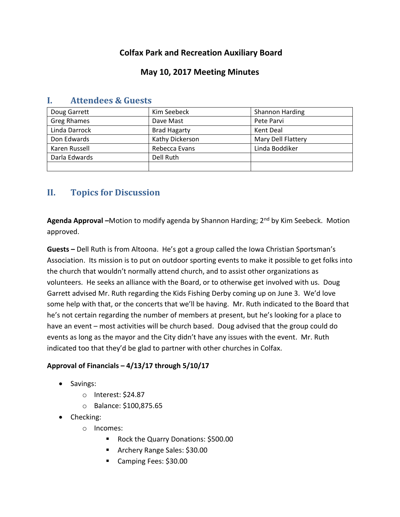# **Colfax Park and Recreation Auxiliary Board**

## **May 10, 2017 Meeting Minutes**

| Doug Garrett       | Kim Seebeck         | <b>Shannon Harding</b> |
|--------------------|---------------------|------------------------|
| <b>Greg Rhames</b> | Dave Mast           | Pete Parvi             |
| Linda Darrock      | <b>Brad Hagarty</b> | Kent Deal              |
| Don Edwards        | Kathy Dickerson     | Mary Dell Flattery     |
| Karen Russell      | Rebecca Evans       | Linda Boddiker         |
| Darla Edwards      | Dell Ruth           |                        |
|                    |                     |                        |

### **I. Attendees & Guests**

# **II. Topics for Discussion**

**Agenda Approval –**Motion to modify agenda by Shannon Harding; 2nd by Kim Seebeck. Motion approved.

**Guests –** Dell Ruth is from Altoona. He's got a group called the Iowa Christian Sportsman's Association. Its mission is to put on outdoor sporting events to make it possible to get folks into the church that wouldn't normally attend church, and to assist other organizations as volunteers. He seeks an alliance with the Board, or to otherwise get involved with us. Doug Garrett advised Mr. Ruth regarding the Kids Fishing Derby coming up on June 3. We'd love some help with that, or the concerts that we'll be having. Mr. Ruth indicated to the Board that he's not certain regarding the number of members at present, but he's looking for a place to have an event – most activities will be church based. Doug advised that the group could do events as long as the mayor and the City didn't have any issues with the event. Mr. Ruth indicated too that they'd be glad to partner with other churches in Colfax.

### **Approval of Financials – 4/13/17 through 5/10/17**

- Savings:
	- o Interest: \$24.87
	- o Balance: \$100,875.65
- Checking:
	- o Incomes:
		- Rock the Quarry Donations: \$500.00
		- **Archery Range Sales: \$30.00**
		- Camping Fees: \$30.00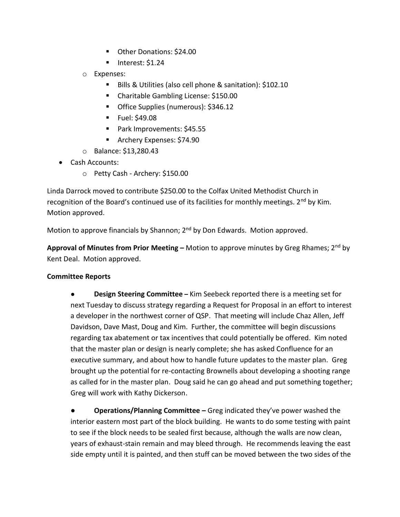- Other Donations: \$24.00
- $\blacksquare$  Interest: \$1.24
- o Expenses:
	- Bills & Utilities (also cell phone & sanitation): \$102.10
	- Charitable Gambling License: \$150.00
	- **•** Office Supplies (numerous): \$346.12
	- **Fuel: \$49.08**
	- Park Improvements: \$45.55
	- **Archery Expenses: \$74.90**
- o Balance: \$13,280.43
- Cash Accounts:
	- o Petty Cash Archery: \$150.00

Linda Darrock moved to contribute \$250.00 to the Colfax United Methodist Church in recognition of the Board's continued use of its facilities for monthly meetings. 2<sup>nd</sup> by Kim. Motion approved.

Motion to approve financials by Shannon; 2<sup>nd</sup> by Don Edwards. Motion approved.

**Approval of Minutes from Prior Meeting –** Motion to approve minutes by Greg Rhames; 2<sup>nd</sup> by Kent Deal. Motion approved.

### **Committee Reports**

● **Design Steering Committee –** Kim Seebeck reported there is a meeting set for next Tuesday to discuss strategy regarding a Request for Proposal in an effort to interest a developer in the northwest corner of QSP. That meeting will include Chaz Allen, Jeff Davidson, Dave Mast, Doug and Kim. Further, the committee will begin discussions regarding tax abatement or tax incentives that could potentially be offered. Kim noted that the master plan or design is nearly complete; she has asked Confluence for an executive summary, and about how to handle future updates to the master plan. Greg brought up the potential for re-contacting Brownells about developing a shooting range as called for in the master plan. Doug said he can go ahead and put something together; Greg will work with Kathy Dickerson.

**● Operations/Planning Committee –** Greg indicated they've power washed the interior eastern most part of the block building. He wants to do some testing with paint to see if the block needs to be sealed first because, although the walls are now clean, years of exhaust-stain remain and may bleed through. He recommends leaving the east side empty until it is painted, and then stuff can be moved between the two sides of the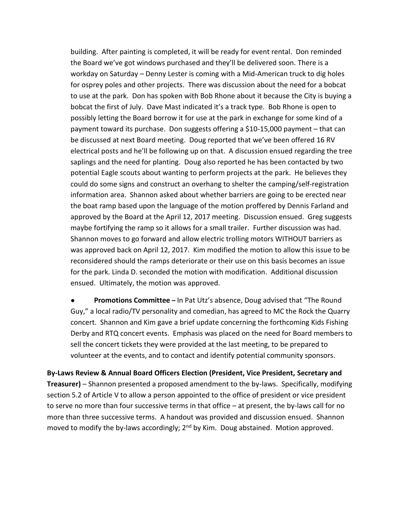building. After painting is completed, it will be ready for event rental. Don reminded the Board we've got windows purchased and they'll be delivered soon. There is a workday on Saturday – Denny Lester is coming with a Mid-American truck to dig holes for osprey poles and other projects. There was discussion about the need for a bobcat to use at the park. Don has spoken with Bob Rhone about it because the City is buying a bobcat the first of July. Dave Mast indicated it's a track type. Bob Rhone is open to possibly letting the Board borrow it for use at the park in exchange for some kind of a payment toward its purchase. Don suggests offering a \$10-15,000 payment – that can be discussed at next Board meeting. Doug reported that we've been offered 16 RV electrical posts and he'll be following up on that. A discussion ensued regarding the tree saplings and the need for planting. Doug also reported he has been contacted by two potential Eagle scouts about wanting to perform projects at the park. He believes they could do some signs and construct an overhang to shelter the camping/self-registration information area. Shannon asked about whether barriers are going to be erected near the boat ramp based upon the language of the motion proffered by Dennis Farland and approved by the Board at the April 12, 2017 meeting. Discussion ensued. Greg suggests maybe fortifying the ramp so it allows for a small trailer. Further discussion was had. Shannon moves to go forward and allow electric trolling motors WITHOUT barriers as was approved back on April 12, 2017. Kim modified the motion to allow this issue to be reconsidered should the ramps deteriorate or their use on this basis becomes an issue for the park. Linda D. seconded the motion with modification. Additional discussion ensued. Ultimately, the motion was approved.

**Promotions Committee** – In Pat Utz's absence, Doug advised that "The Round Guy," a local radio/TV personality and comedian, has agreed to MC the Rock the Quarry concert. Shannon and Kim gave a brief update concerning the forthcoming Kids Fishing Derby and RTQ concert events. Emphasis was placed on the need for Board members to sell the concert tickets they were provided at the last meeting, to be prepared to volunteer at the events, and to contact and identify potential community sponsors.

**By-Laws Review & Annual Board Officers Election (President, Vice President, Secretary and Treasurer)** – Shannon presented a proposed amendment to the by-laws. Specifically, modifying section 5.2 of Article V to allow a person appointed to the office of president or vice president to serve no more than four successive terms in that office – at present, the by-laws call for no more than three successive terms. A handout was provided and discussion ensued. Shannon moved to modify the by-laws accordingly;  $2<sup>nd</sup>$  by Kim. Doug abstained. Motion approved.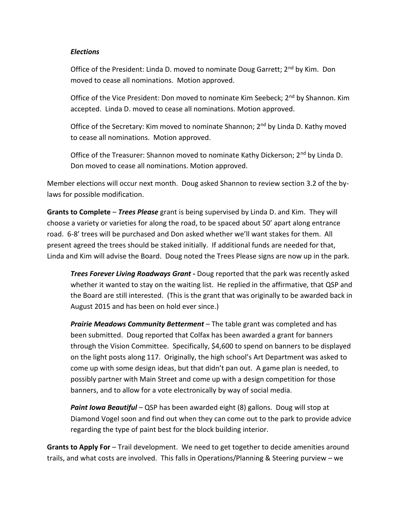#### *Elections*

Office of the President: Linda D. moved to nominate Doug Garrett; 2<sup>nd</sup> by Kim. Don moved to cease all nominations. Motion approved.

Office of the Vice President: Don moved to nominate Kim Seebeck; 2<sup>nd</sup> by Shannon. Kim accepted. Linda D. moved to cease all nominations. Motion approved.

Office of the Secretary: Kim moved to nominate Shannon; 2<sup>nd</sup> by Linda D. Kathy moved to cease all nominations. Motion approved.

Office of the Treasurer: Shannon moved to nominate Kathy Dickerson; 2<sup>nd</sup> by Linda D. Don moved to cease all nominations. Motion approved.

Member elections will occur next month. Doug asked Shannon to review section 3.2 of the bylaws for possible modification.

**Grants to Complete** – *Trees Please* grant is being supervised by Linda D. and Kim. They will choose a variety or varieties for along the road, to be spaced about 50' apart along entrance road. 6-8' trees will be purchased and Don asked whether we'll want stakes for them. All present agreed the trees should be staked initially. If additional funds are needed for that, Linda and Kim will advise the Board. Doug noted the Trees Please signs are now up in the park.

*Trees Forever Living Roadways Grant* **-** Doug reported that the park was recently asked whether it wanted to stay on the waiting list. He replied in the affirmative, that QSP and the Board are still interested. (This is the grant that was originally to be awarded back in August 2015 and has been on hold ever since.)

*Prairie Meadows Community Betterment* – The table grant was completed and has been submitted. Doug reported that Colfax has been awarded a grant for banners through the Vision Committee. Specifically, \$4,600 to spend on banners to be displayed on the light posts along 117. Originally, the high school's Art Department was asked to come up with some design ideas, but that didn't pan out. A game plan is needed, to possibly partner with Main Street and come up with a design competition for those banners, and to allow for a vote electronically by way of social media.

*Paint Iowa Beautiful* – QSP has been awarded eight (8) gallons. Doug will stop at Diamond Vogel soon and find out when they can come out to the park to provide advice regarding the type of paint best for the block building interior.

**Grants to Apply For** – Trail development. We need to get together to decide amenities around trails, and what costs are involved. This falls in Operations/Planning & Steering purview – we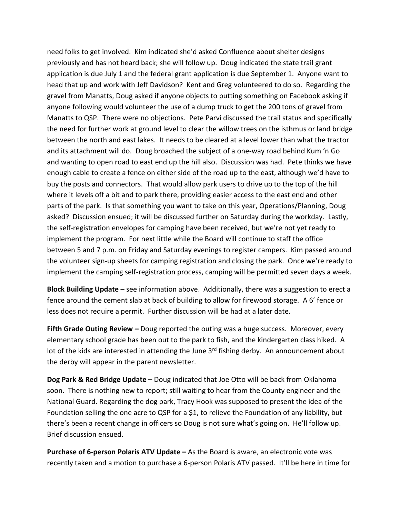need folks to get involved. Kim indicated she'd asked Confluence about shelter designs previously and has not heard back; she will follow up. Doug indicated the state trail grant application is due July 1 and the federal grant application is due September 1. Anyone want to head that up and work with Jeff Davidson? Kent and Greg volunteered to do so. Regarding the gravel from Manatts, Doug asked if anyone objects to putting something on Facebook asking if anyone following would volunteer the use of a dump truck to get the 200 tons of gravel from Manatts to QSP. There were no objections. Pete Parvi discussed the trail status and specifically the need for further work at ground level to clear the willow trees on the isthmus or land bridge between the north and east lakes. It needs to be cleared at a level lower than what the tractor and its attachment will do. Doug broached the subject of a one-way road behind Kum 'n Go and wanting to open road to east end up the hill also. Discussion was had. Pete thinks we have enough cable to create a fence on either side of the road up to the east, although we'd have to buy the posts and connectors. That would allow park users to drive up to the top of the hill where it levels off a bit and to park there, providing easier access to the east end and other parts of the park. Is that something you want to take on this year, Operations/Planning, Doug asked? Discussion ensued; it will be discussed further on Saturday during the workday. Lastly, the self-registration envelopes for camping have been received, but we're not yet ready to implement the program. For next little while the Board will continue to staff the office between 5 and 7 p.m. on Friday and Saturday evenings to register campers. Kim passed around the volunteer sign-up sheets for camping registration and closing the park. Once we're ready to implement the camping self-registration process, camping will be permitted seven days a week.

**Block Building Update** – see information above. Additionally, there was a suggestion to erect a fence around the cement slab at back of building to allow for firewood storage. A 6' fence or less does not require a permit. Further discussion will be had at a later date.

**Fifth Grade Outing Review –** Doug reported the outing was a huge success. Moreover, every elementary school grade has been out to the park to fish, and the kindergarten class hiked. A lot of the kids are interested in attending the June 3<sup>rd</sup> fishing derby. An announcement about the derby will appear in the parent newsletter.

**Dog Park & Red Bridge Update –** Doug indicated that Joe Otto will be back from Oklahoma soon. There is nothing new to report; still waiting to hear from the County engineer and the National Guard. Regarding the dog park, Tracy Hook was supposed to present the idea of the Foundation selling the one acre to QSP for a \$1, to relieve the Foundation of any liability, but there's been a recent change in officers so Doug is not sure what's going on. He'll follow up. Brief discussion ensued.

**Purchase of 6-person Polaris ATV Update –** As the Board is aware, an electronic vote was recently taken and a motion to purchase a 6-person Polaris ATV passed. It'll be here in time for